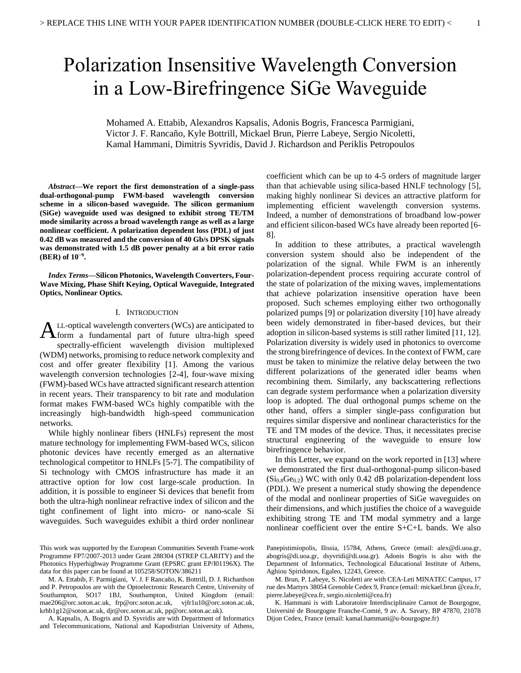# Polarization Insensitive Wavelength Conversion in a Low-Birefringence SiGe Waveguide

Mohamed A. Ettabib, Alexandros Kapsalis, Adonis Bogris, Francesca Parmigiani, Victor J. F. Rancaño, Kyle Bottrill, Mickael Brun, Pierre Labeye, Sergio Nicoletti, Kamal Hammani, Dimitris Syvridis, David J. Richardson and Periklis Petropoulos

*Abstract***—We report the first demonstration of a single-pass dual-orthogonal-pump FWM-based wavelength conversion scheme in a silicon-based waveguide. The silicon germanium (SiGe) waveguide used was designed to exhibit strong TE/TM mode similarity across a broad wavelength range as well as a large nonlinear coefficient. A polarization dependent loss (PDL) of just 0.42 dB was measured and the conversion of 40 Gb/s DPSK signals was demonstrated with 1.5 dB power penalty at a bit error ratio (BER) of 10−9 .**

*Index Terms***—Silicon Photonics, Wavelength Converters, Four-Wave Mixing, Phase Shift Keying, Optical Waveguide, Integrated Optics, Nonlinear Optics.** 

# I. INTRODUCTION

LL-optical wavelength converters (WCs) are anticipated to  $A$ LL-optical wavelength converters (WCs) are anticipated to form a fundamental part of future ultra-high speed spectrally-efficient wavelength division multiplexed (WDM) networks, promising to reduce network complexity and cost and offer greater flexibility [1]. Among the various wavelength conversion technologies [2-4], four-wave mixing (FWM)-based WCs have attracted significant research attention in recent years. Their transparency to bit rate and modulation format makes FWM-based WCs highly compatible with the increasingly high-bandwidth high-speed communication networks.

While highly nonlinear fibers (HNLFs) represent the most mature technology for implementing FWM-based WCs, silicon photonic devices have recently emerged as an alternative technological competitor to HNLFs [5-7]. The compatibility of Si technology with CMOS infrastructure has made it an attractive option for low cost large-scale production. In addition, it is possible to engineer Si devices that benefit from both the ultra-high nonlinear refractive index of silicon and the tight confinement of light into micro- or nano-scale Si waveguides. Such waveguides exhibit a third order nonlinear

A. Kapsalis, A. Bogris and D. Syvridis are with Department of Informatics and Telecommunications, National and Kapodistrian University of Athens,

coefficient which can be up to 4-5 orders of magnitude larger than that achievable using silica-based HNLF technology [5], making highly nonlinear Si devices an attractive platform for implementing efficient wavelength conversion systems. Indeed, a number of demonstrations of broadband low-power and efficient silicon-based WCs have already been reported [6- 8].

In addition to these attributes, a practical wavelength conversion system should also be independent of the polarization of the signal. While FWM is an inherently polarization-dependent process requiring accurate control of the state of polarization of the mixing waves, implementations that achieve polarization insensitive operation have been proposed. Such schemes employing either two orthogonally polarized pumps [9] or polarization diversity [10] have already been widely demonstrated in fiber-based devices, but their adoption in silicon-based systems is still rather limited [11, 12]. Polarization diversity is widely used in photonics to overcome the strong birefringence of devices. In the context of FWM, care must be taken to minimize the relative delay between the two different polarizations of the generated idler beams when recombining them. Similarly, any backscattering reflections can degrade system performance when a polarization diversity loop is adopted. The dual orthogonal pumps scheme on the other hand, offers a simpler single-pass configuration but requires similar dispersive and nonlinear characteristics for the TE and TM modes of the device. Thus, it necessitates precise structural engineering of the waveguide to ensure low birefringence behavior.

In this Letter, we expand on the work reported in [13] where we demonstrated the first dual-orthogonal-pump silicon-based  $(Si<sub>0.8</sub>Ge<sub>0.2</sub>)$  WC with only 0.42 dB polarization-dependent loss (PDL). We present a numerical study showing the dependence of the modal and nonlinear properties of SiGe waveguides on their dimensions, and which justifies the choice of a waveguide exhibiting strong TE and TM modal symmetry and a large nonlinear coefficient over the entire S+C+L bands. We also

This work was supported by the European Communities Seventh Frame-work Programme FP7/2007-2013 under Grant 288304 (STREP CLARITY) and the Photonics Hyperhighway Programme Grant (EPSRC grant EP/I01196X). The data for this paper can be found at 105258/SOTON/386211

M. A. Ettabib, F. Parmigiani, V. J. F Rancaño, K. Bottrill, D. J. Richardson and P. Petropoulos are with the Optoelectronic Research Centre, University of Southampton, SO17 1BJ, Southampton, United Kingdom (email: mae206@orc.soton.ac.uk, frp@orc.soton.ac.uk, vjfr1u10@orc.soton.ac.uk, krhb1g12@soton.ac.uk, djr@orc.soton.ac.uk, pp@orc.soton.ac.uk).

Panepistimiopolis, Ilissia, 15784, Athens, Greece (email: alex@di.uoa.gr, abogris@di.uoa.gr, dsyvridi@di.uoa.gr). Adonis Bogris is also with the Department of Informatics, Technological Educational Institute of Athens, Aghiou Spiridonos, Egaleo, 12243, Greece.

M. Brun, P. Labeye, S. Nicoletti are with CEA-Leti MINATEC Campus, 17 rue des Martyrs 38054 Grenoble Cedex 9, France (email: mickael.brun @cea.fr, pierre.labeye@cea.fr, sergio.nicoletti@cea.fr)

K. Hammani is with Laboratoire Interdisciplinaire Carnot de Bourgogne, Université de Bourgogne Franche-Comté, 9 av. A. Savary, BP 47870, 21078 Dijon Cedex, France (email: kamal.hammani@u-bourgogne.fr)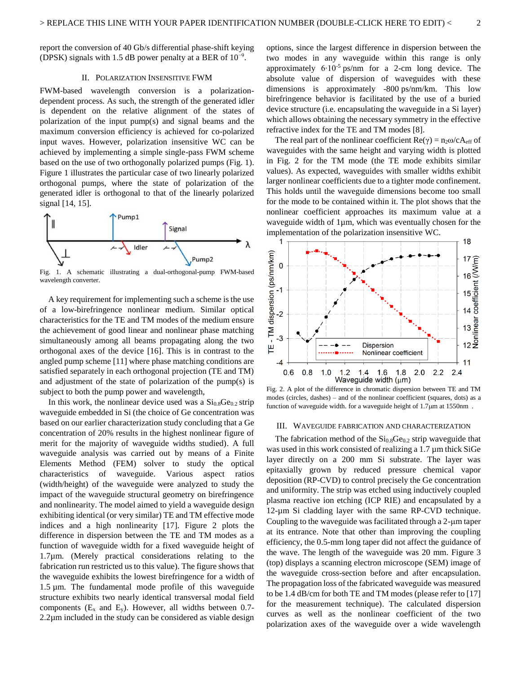report the conversion of 40 Gb/s differential phase-shift keying (DPSK) signals with 1.5 dB power penalty at a BER of  $10^{-9}$ .

#### II. POLARIZATION INSENSITIVE FWM

FWM-based wavelength conversion is a polarizationdependent process. As such, the strength of the generated idler is dependent on the relative alignment of the states of polarization of the input pump(s) and signal beams and the maximum conversion efficiency is achieved for co-polarized input waves. However, polarization insensitive WC can be achieved by implementing a simple single-pass FWM scheme based on the use of two orthogonally polarized pumps (Fig. 1). Figure 1 illustrates the particular case of two linearly polarized orthogonal pumps, where the state of polarization of the generated idler is orthogonal to that of the linearly polarized signal [14, 15].



Fig. 1. A schematic illustrating a dual-orthogonal-pump FWM-based wavelength converter.

A key requirement for implementing such a scheme is the use of a low-birefringence nonlinear medium. Similar optical characteristics for the TE and TM modes of the medium ensure the achievement of good linear and nonlinear phase matching simultaneously among all beams propagating along the two orthogonal axes of the device [16]. This is in contrast to the angled pump scheme [11] where phase matching conditions are satisfied separately in each orthogonal projection (TE and TM) and adjustment of the state of polarization of the pump(s) is subject to both the pump power and wavelength,

In this work, the nonlinear device used was a  $Si<sub>0.8</sub>Ge<sub>0.2</sub>$  strip waveguide embedded in Si (the choice of Ge concentration was based on our earlier characterization study concluding that a Ge concentration of 20% results in the highest nonlinear figure of merit for the majority of waveguide widths studied). A full waveguide analysis was carried out by means of a Finite Elements Method (FEM) solver to study the optical characteristics of waveguide. Various aspect ratios (width/height) of the waveguide were analyzed to study the impact of the waveguide structural geometry on birefringence and nonlinearity. The model aimed to yield a waveguide design exhibiting identical (or very similar) TE and TM effective mode indices and a high nonlinearity [17]. Figure 2 plots the difference in dispersion between the TE and TM modes as a function of waveguide width for a fixed waveguide height of 1.7µm. (Merely practical considerations relating to the fabrication run restricted us to this value). The figure shows that the waveguide exhibits the lowest birefringence for a width of 1.5 µm. The fundamental mode profile of this waveguide structure exhibits two nearly identical transversal modal field components  $(E_x \text{ and } E_y)$ . However, all widths between 0.7-2.2µm included in the study can be considered as viable design

options, since the largest difference in dispersion between the two modes in any waveguide within this range is only approximately 6∙10-5 ps/nm for a 2-cm long device. The absolute value of dispersion of waveguides with these dimensions is approximately -800 ps/nm/km. This low birefringence behavior is facilitated by the use of a buried device structure (i.e. encapsulating the waveguide in a Si layer) which allows obtaining the necessary symmetry in the effective refractive index for the TE and TM modes [8].

The real part of the nonlinear coefficient  $Re(\gamma) = n_2 \omega/cA_{eff}$  of waveguides with the same height and varying width is plotted in Fig. 2 for the TM mode (the TE mode exhibits similar values). As expected, waveguides with smaller widths exhibit larger nonlinear coefficients due to a tighter mode confinement. This holds until the waveguide dimensions become too small for the mode to be contained within it. The plot shows that the nonlinear coefficient approaches its maximum value at a waveguide width of 1µm, which was eventually chosen for the implementation of the polarization insensitive WC.



Fig. 2. A plot of the difference in chromatic dispersion between TE and TM modes (circles, dashes) – and of the nonlinear coefficient (squares, dots) as a function of waveguide width. for a waveguide height of  $1.7 \mu m$  at  $1550 \text{nm}$ .

## III. WAVEGUIDE FABRICATION AND CHARACTERIZATION

The fabrication method of the  $Si<sub>0.8</sub>Ge<sub>0.2</sub>$  strip waveguide that was used in this work consisted of realizing a 1.7  $\mu$ m thick SiGe layer directly on a 200 mm Si substrate. The layer was epitaxially grown by reduced pressure chemical vapor deposition (RP-CVD) to control precisely the Ge concentration and uniformity. The strip was etched using inductively coupled plasma reactive ion etching (ICP RIE) and encapsulated by a 12-µm Si cladding layer with the same RP-CVD technique. Coupling to the waveguide was facilitated through a  $2$ - $\mu$ m taper at its entrance. Note that other than improving the coupling efficiency, the 0.5-mm long taper did not affect the guidance of the wave. The length of the waveguide was 20 mm. Figure 3 (top) displays a scanning electron microscope (SEM) image of the waveguide cross-section before and after encapsulation. The propagation loss of the fabricated waveguide was measured to be 1.4 dB/cm for both TE and TM modes (please refer to [17] for the measurement technique). The calculated dispersion curves as well as the nonlinear coefficient of the two polarization axes of the waveguide over a wide wavelength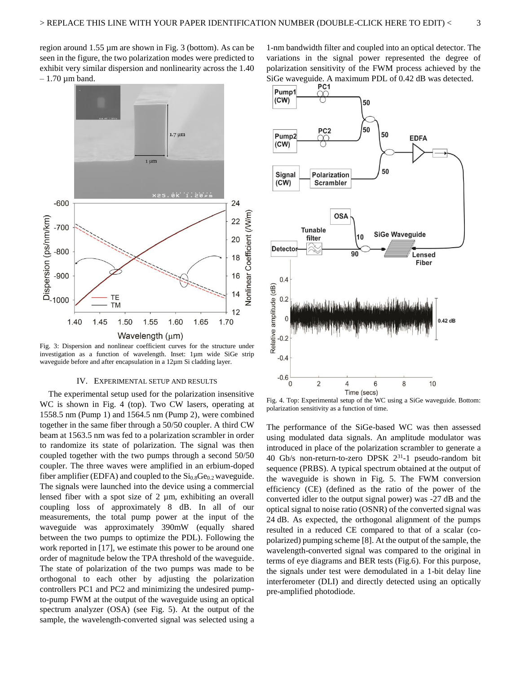region around 1.55 µm are shown in Fig. 3 (bottom). As can be seen in the figure, the two polarization modes were predicted to exhibit very similar dispersion and nonlinearity across the 1.40  $-1.70 \mu m$  band.



Fig. 3: Dispersion and nonlinear coefficient curves for the structure under investigation as a function of wavelength. Inset: 1µm wide SiGe strip waveguide before and after encapsulation in a 12µm Si cladding layer.

### IV. EXPERIMENTAL SETUP AND RESULTS

The experimental setup used for the polarization insensitive WC is shown in Fig. 4 (top). Two CW lasers, operating at 1558.5 nm (Pump 1) and 1564.5 nm (Pump 2), were combined together in the same fiber through a 50/50 coupler. A third CW beam at 1563.5 nm was fed to a polarization scrambler in order to randomize its state of polarization. The signal was then coupled together with the two pumps through a second 50/50 coupler. The three waves were amplified in an erbium-doped fiber amplifier (EDFA) and coupled to the  $Si<sub>0.8</sub>Ge<sub>0.2</sub>$  waveguide. The signals were launched into the device using a commercial lensed fiber with a spot size of 2 µm, exhibiting an overall coupling loss of approximately 8 dB. In all of our measurements, the total pump power at the input of the waveguide was approximately 390mW (equally shared between the two pumps to optimize the PDL). Following the work reported in [17], we estimate this power to be around one order of magnitude below the TPA threshold of the waveguide. The state of polarization of the two pumps was made to be orthogonal to each other by adjusting the polarization controllers PC1 and PC2 and minimizing the undesired pumpto-pump FWM at the output of the waveguide using an optical spectrum analyzer (OSA) (see Fig. 5). At the output of the sample, the wavelength-converted signal was selected using a

1-nm bandwidth filter and coupled into an optical detector. The variations in the signal power represented the degree of polarization sensitivity of the FWM process achieved by the SiGe waveguide. A maximum PDL of 0.42 dB was detected.



Fig. 4. Top: Experimental setup of the WC using a SiGe waveguide. Bottom: polarization sensitivity as a function of time.

The performance of the SiGe-based WC was then assessed using modulated data signals. An amplitude modulator was introduced in place of the polarization scrambler to generate a 40 Gb/s non-return-to-zero DPSK 2<sup>31</sup> -1 pseudo-random bit sequence (PRBS). A typical spectrum obtained at the output of the waveguide is shown in Fig. 5. The FWM conversion efficiency (CE) (defined as the ratio of the power of the converted idler to the output signal power) was -27 dB and the optical signal to noise ratio (OSNR) of the converted signal was 24 dB. As expected, the orthogonal alignment of the pumps resulted in a reduced CE compared to that of a scalar (copolarized) pumping scheme [8]. At the output of the sample, the wavelength-converted signal was compared to the original in terms of eye diagrams and BER tests (Fig.6). For this purpose, the signals under test were demodulated in a 1-bit delay line interferometer (DLI) and directly detected using an optically pre-amplified photodiode.